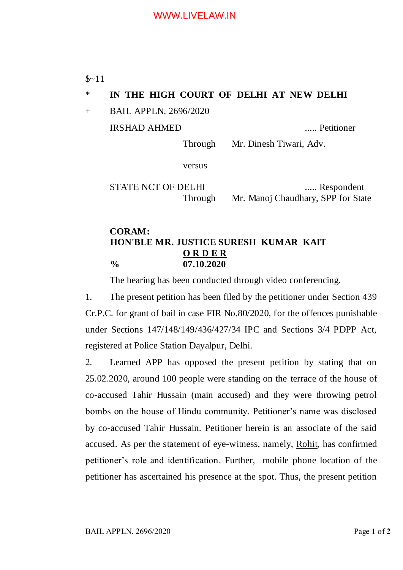$$~11$ 

# \* **IN THE HIGH COURT OF DELHI AT NEW DELHI**

+ BAIL APPLN. 2696/2020

IRSHAD AHMED ..... Petitioner

Through Mr. Dinesh Tiwari, Adv.

versus

STATE NCT OF DELHI ...... Respondent Through Mr. Manoj Chaudhary, SPP for State

## **CORAM: HON'BLE MR. JUSTICE SURESH KUMAR KAIT O R D E R % 07.10.2020**

The hearing has been conducted through video conferencing.

1. The present petition has been filed by the petitioner under Section 439 Cr.P.C. for grant of bail in case FIR No.80/2020, for the offences punishable under Sections 147/148/149/436/427/34 IPC and Sections 3/4 PDPP Act, registered at Police Station Dayalpur, Delhi.

2. Learned APP has opposed the present petition by stating that on 25.02.2020, around 100 people were standing on the terrace of the house of co-accused Tahir Hussain (main accused) and they were throwing petrol bombs on the house of Hindu community. Petitioner's name was disclosed by co-accused Tahir Hussain. Petitioner herein is an associate of the said accused. As per the statement of eye-witness, namely, Rohit, has confirmed petitioner's role and identification. Further, mobile phone location of the petitioner has ascertained his presence at the spot. Thus, the present petition